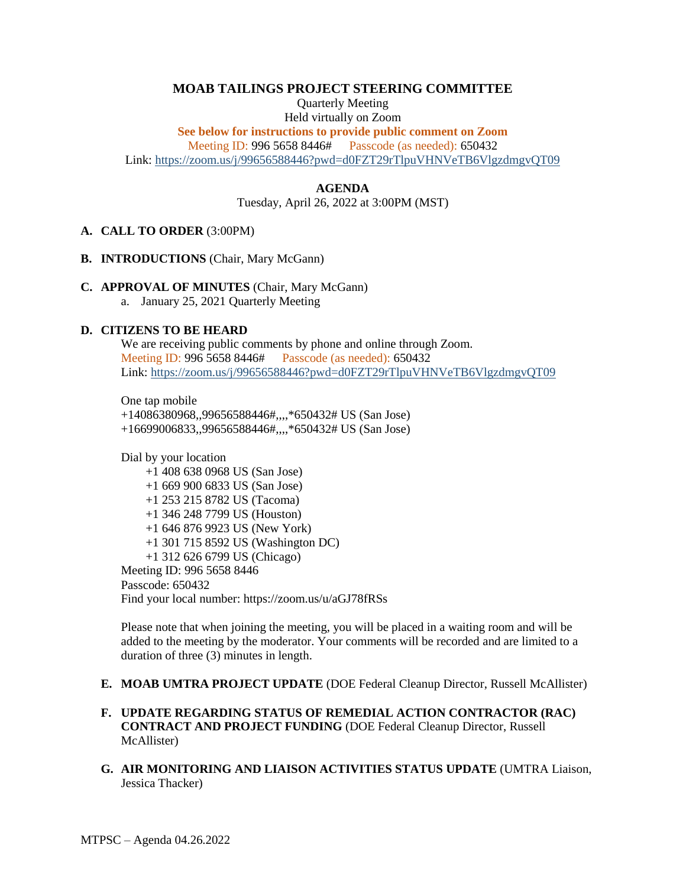# **MOAB TAILINGS PROJECT STEERING COMMITTEE**

Quarterly Meeting Held virtually on Zoom **See below for instructions to provide public comment on Zoom** Meeting ID: 996 5658 8446# Passcode (as needed): 650432

Link:<https://zoom.us/j/99656588446?pwd=d0FZT29rTlpuVHNVeTB6VlgzdmgvQT09>

### **AGENDA**

Tuesday, April 26, 2022 at 3:00PM (MST)

#### **A. CALL TO ORDER** (3:00PM)

- **B. INTRODUCTIONS** (Chair, Mary McGann)
- **C. APPROVAL OF MINUTES** (Chair, Mary McGann) a. January 25, 2021 Quarterly Meeting

#### **D. CITIZENS TO BE HEARD**

We are receiving public comments by phone and online through Zoom. Meeting ID: 996 5658 8446# Passcode (as needed): 650432 Link:<https://zoom.us/j/99656588446?pwd=d0FZT29rTlpuVHNVeTB6VlgzdmgvQT09>

One tap mobile +14086380968,,99656588446#,,,,\*650432# US (San Jose) +16699006833,,99656588446#,,,,\*650432# US (San Jose)

Dial by your location +1 408 638 0968 US (San Jose) +1 669 900 6833 US (San Jose) +1 253 215 8782 US (Tacoma) +1 346 248 7799 US (Houston) +1 646 876 9923 US (New York) +1 301 715 8592 US (Washington DC) +1 312 626 6799 US (Chicago) Meeting ID: 996 5658 8446 Passcode: 650432 Find your local number: https://zoom.us/u/aGJ78fRSs

Please note that when joining the meeting, you will be placed in a waiting room and will be added to the meeting by the moderator. Your comments will be recorded and are limited to a duration of three (3) minutes in length.

### **E. MOAB UMTRA PROJECT UPDATE** (DOE Federal Cleanup Director, Russell McAllister)

# **F. UPDATE REGARDING STATUS OF REMEDIAL ACTION CONTRACTOR (RAC) CONTRACT AND PROJECT FUNDING** (DOE Federal Cleanup Director, Russell McAllister)

**G. AIR MONITORING AND LIAISON ACTIVITIES STATUS UPDATE** (UMTRA Liaison, Jessica Thacker)